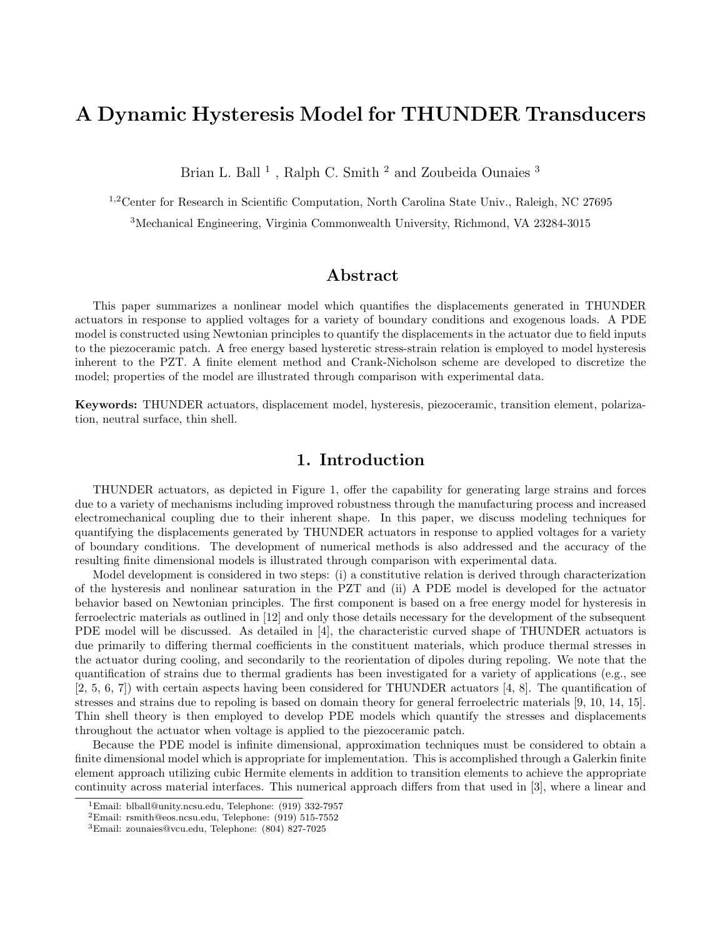# **A Dynamic Hysteresis Model for THUNDER Transducers**

Brian L. Ball  $^1$  , Ralph C. Smith  $^2$  and Zoubeida Ounaies  $^3$ 

<sup>1,2</sup>Center for Research in Scientific Computation, North Carolina State Univ., Raleigh, NC 27695

<sup>3</sup>Mechanical Engineering, Virginia Commonwealth University, Richmond, VA 23284-3015

## **Abstract**

This paper summarizes a nonlinear model which quantifies the displacements generated in THUNDER actuators in response to applied voltages for a variety of boundary conditions and exogenous loads. A PDE model is constructed using Newtonian principles to quantify the displacements in the actuator due to field inputs to the piezoceramic patch. A free energy based hysteretic stress-strain relation is employed to model hysteresis inherent to the PZT. A finite element method and Crank-Nicholson scheme are developed to discretize the model; properties of the model are illustrated through comparison with experimental data.

**Keywords:** THUNDER actuators, displacement model, hysteresis, piezoceramic, transition element, polarization, neutral surface, thin shell.

### **1. Introduction**

THUNDER actuators, as depicted in Figure 1, offer the capability for generating large strains and forces due to a variety of mechanisms including improved robustness through the manufacturing process and increased electromechanical coupling due to their inherent shape. In this paper, we discuss modeling techniques for quantifying the displacements generated by THUNDER actuators in response to applied voltages for a variety of boundary conditions. The development of numerical methods is also addressed and the accuracy of the resulting finite dimensional models is illustrated through comparison with experimental data.

Model development is considered in two steps: (i) a constitutive relation is derived through characterization of the hysteresis and nonlinear saturation in the PZT and (ii) A PDE model is developed for the actuator behavior based on Newtonian principles. The first component is based on a free energy model for hysteresis in ferroelectric materials as outlined in [12] and only those details necessary for the development of the subsequent PDE model will be discussed. As detailed in [4], the characteristic curved shape of THUNDER actuators is due primarily to differing thermal coefficients in the constituent materials, which produce thermal stresses in the actuator during cooling, and secondarily to the reorientation of dipoles during repoling. We note that the quantification of strains due to thermal gradients has been investigated for a variety of applications (e.g., see [2, 5, 6, 7]) with certain aspects having been considered for THUNDER actuators [4, 8]. The quantification of stresses and strains due to repoling is based on domain theory for general ferroelectric materials [9, 10, 14, 15]. Thin shell theory is then employed to develop PDE models which quantify the stresses and displacements throughout the actuator when voltage is applied to the piezoceramic patch.

Because the PDE model is infinite dimensional, approximation techniques must be considered to obtain a finite dimensional model which is appropriate for implementation. This is accomplished through a Galerkin finite element approach utilizing cubic Hermite elements in addition to transition elements to achieve the appropriate continuity across material interfaces. This numerical approach differs from that used in [3], where a linear and

<sup>&</sup>lt;sup>1</sup>Email: blball@unity.ncsu.edu, Telephone:  $(919)$  332-7957

<sup>2</sup>Email: rsmith@eos.ncsu.edu, Telephone: (919) 515-7552

<sup>3</sup>Email: zounaies@vcu.edu, Telephone: (804) 827-7025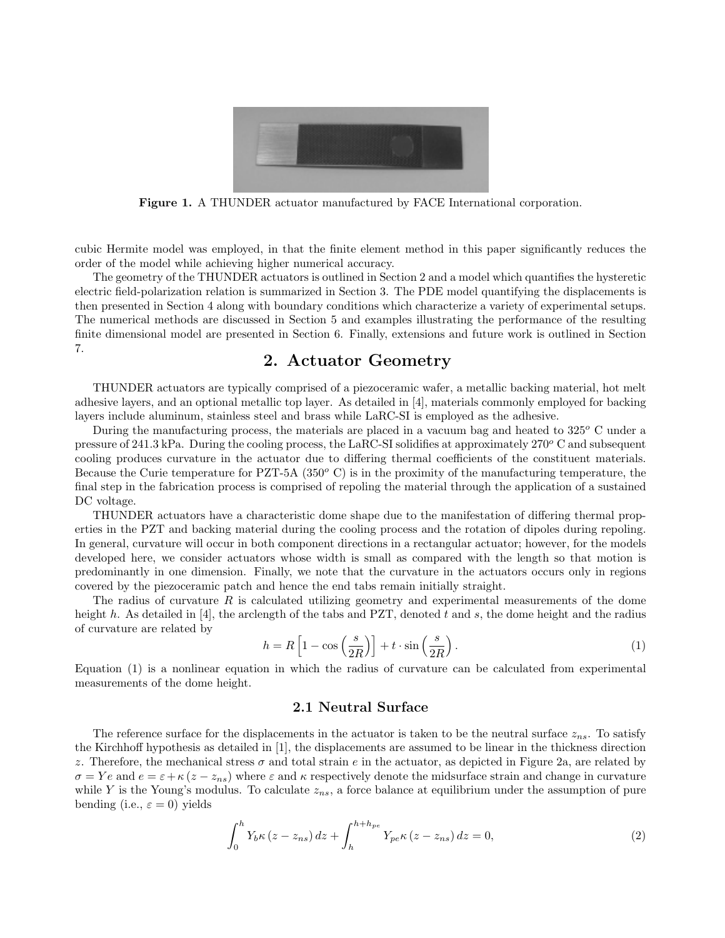

**Figure 1.** A THUNDER actuator manufactured by FACE International corporation.

cubic Hermite model was employed, in that the finite element method in this paper significantly reduces the order of the model while achieving higher numerical accuracy.

The geometry of the THUNDER actuators is outlined in Section 2 and a model which quantifies the hysteretic electric field-polarization relation is summarized in Section 3. The PDE model quantifying the displacements is then presented in Section 4 along with boundary conditions which characterize a variety of experimental setups. The numerical methods are discussed in Section 5 and examples illustrating the performance of the resulting finite dimensional model are presented in Section 6. Finally, extensions and future work is outlined in Section 7.

## **2. Actuator Geometry**

THUNDER actuators are typically comprised of a piezoceramic wafer, a metallic backing material, hot melt adhesive layers, and an optional metallic top layer. As detailed in [4], materials commonly employed for backing layers include aluminum, stainless steel and brass while LaRC-SI is employed as the adhesive.

During the manufacturing process, the materials are placed in a vacuum bag and heated to  $325^{\circ}$  C under a pressure of 241.3 kPa. During the cooling process, the LaRC-SI solidifies at approximately  $270^{\circ}$  C and subsequent cooling produces curvature in the actuator due to differing thermal coefficients of the constituent materials. Because the Curie temperature for PZT-5A ( $350^{\circ}$  C) is in the proximity of the manufacturing temperature, the final step in the fabrication process is comprised of repoling the material through the application of a sustained DC voltage.

THUNDER actuators have a characteristic dome shape due to the manifestation of differing thermal properties in the PZT and backing material during the cooling process and the rotation of dipoles during repoling. In general, curvature will occur in both component directions in a rectangular actuator; however, for the models developed here, we consider actuators whose width is small as compared with the length so that motion is predominantly in one dimension. Finally, we note that the curvature in the actuators occurs only in regions covered by the piezoceramic patch and hence the end tabs remain initially straight.

The radius of curvature  $R$  is calculated utilizing geometry and experimental measurements of the dome height h. As detailed in [4], the arclength of the tabs and PZT, denoted t and s, the dome height and the radius of curvature are related by

$$
h = R \left[ 1 - \cos\left(\frac{s}{2R}\right) \right] + t \cdot \sin\left(\frac{s}{2R}\right). \tag{1}
$$

Equation (1) is a nonlinear equation in which the radius of curvature can be calculated from experimental measurements of the dome height.

#### **2.1 Neutral Surface**

The reference surface for the displacements in the actuator is taken to be the neutral surface  $z_{ns}$ . To satisfy the Kirchhoff hypothesis as detailed in [1], the displacements are assumed to be linear in the thickness direction z. Therefore, the mechanical stress  $\sigma$  and total strain e in the actuator, as depicted in Figure 2a, are related by  $\sigma = Ye$  and  $e = \varepsilon + \kappa (z - z_{ns})$  where  $\varepsilon$  and  $\kappa$  respectively denote the midsurface strain and change in curvature while Y is the Young's modulus. To calculate  $z_{ns}$ , a force balance at equilibrium under the assumption of pure bending (i.e.,  $\varepsilon = 0$ ) yields

$$
\int_0^h Y_b \kappa (z - z_{ns}) dz + \int_h^{h + h_{pe}} Y_{pe} \kappa (z - z_{ns}) dz = 0,
$$
\n(2)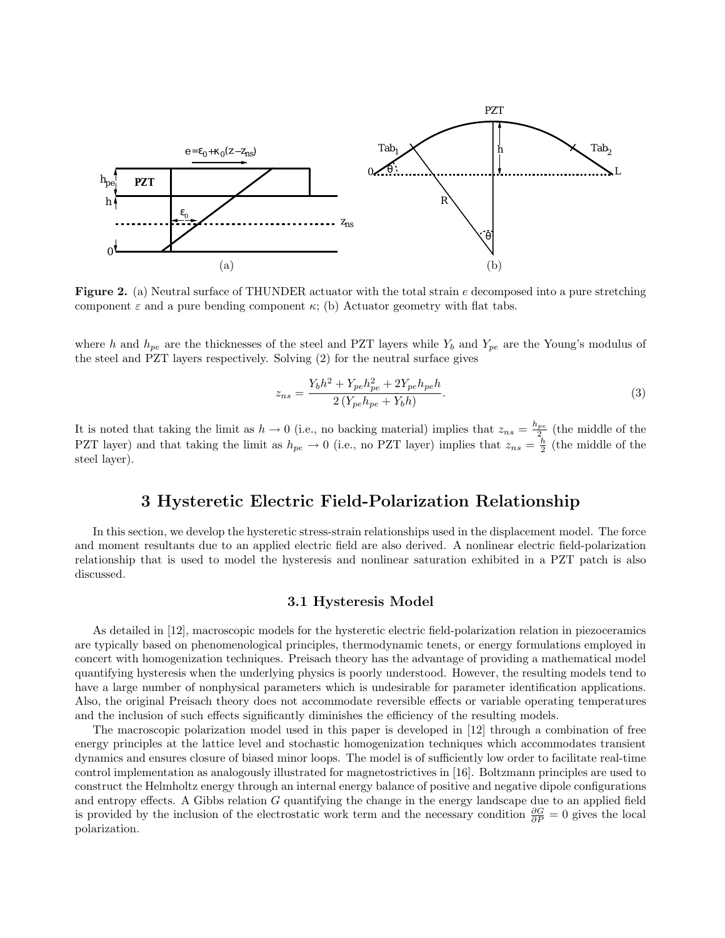

**Figure 2.** (a) Neutral surface of THUNDER actuator with the total strain e decomposed into a pure stretching component  $\varepsilon$  and a pure bending component  $\kappa$ ; (b) Actuator geometry with flat tabs.

where h and  $h_{pe}$  are the thicknesses of the steel and PZT layers while  $Y_b$  and  $Y_{pe}$  are the Young's modulus of the steel and PZT layers respectively. Solving (2) for the neutral surface gives

$$
z_{ns} = \frac{Y_b h^2 + Y_{pe} h_{pe}^2 + 2Y_{pe} h_{pe} h}{2 \left( Y_{pe} h_{pe} + Y_b h \right)}.
$$
\n(3)

It is noted that taking the limit as  $h \to 0$  (i.e., no backing material) implies that  $z_{ns} = \frac{h_{pe}}{2}$  (the middle of the PZT layer) and that taking the limit as  $h_{pe} \rightarrow 0$  (i.e., no PZT layer) implies that  $z_{ns} = \frac{h}{2}$  (the middle of the steel layer).

### **3 Hysteretic Electric Field-Polarization Relationship**

In this section, we develop the hysteretic stress-strain relationships used in the displacement model. The force and moment resultants due to an applied electric field are also derived. A nonlinear electric field-polarization relationship that is used to model the hysteresis and nonlinear saturation exhibited in a PZT patch is also discussed.

#### **3.1 Hysteresis Model**

As detailed in [12], macroscopic models for the hysteretic electric field-polarization relation in piezoceramics are typically based on phenomenological principles, thermodynamic tenets, or energy formulations employed in concert with homogenization techniques. Preisach theory has the advantage of providing a mathematical model quantifying hysteresis when the underlying physics is poorly understood. However, the resulting models tend to have a large number of nonphysical parameters which is undesirable for parameter identification applications. Also, the original Preisach theory does not accommodate reversible effects or variable operating temperatures and the inclusion of such effects significantly diminishes the efficiency of the resulting models.

The macroscopic polarization model used in this paper is developed in [12] through a combination of free energy principles at the lattice level and stochastic homogenization techniques which accommodates transient dynamics and ensures closure of biased minor loops. The model is of sufficiently low order to facilitate real-time control implementation as analogously illustrated for magnetostrictives in [16]. Boltzmann principles are used to construct the Helmholtz energy through an internal energy balance of positive and negative dipole configurations and entropy effects. A Gibbs relation G quantifying the change in the energy landscape due to an applied field is provided by the inclusion of the electrostatic work term and the necessary condition  $\frac{\partial G}{\partial P} = 0$  gives the local polarization.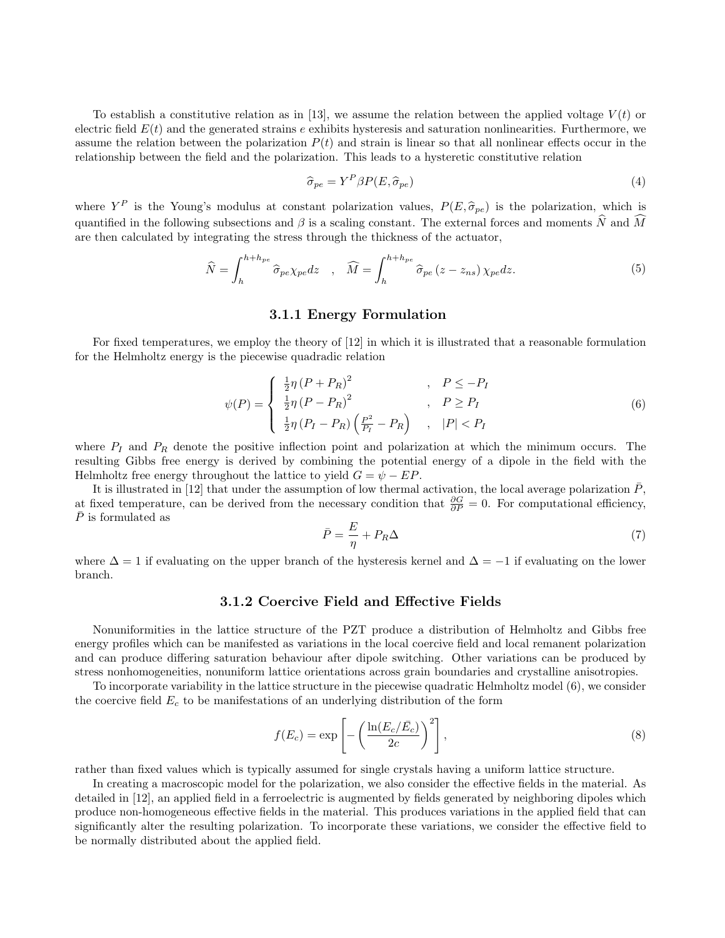To establish a constitutive relation as in [13], we assume the relation between the applied voltage  $V(t)$  or electric field  $E(t)$  and the generated strains e exhibits hysteresis and saturation nonlinearities. Furthermore, we assume the relation between the polarization  $P(t)$  and strain is linear so that all nonlinear effects occur in the relationship between the field and the polarization. This leads to a hysteretic constitutive relation

$$
\hat{\sigma}_{pe} = Y^P \beta P(E, \hat{\sigma}_{pe}) \tag{4}
$$

where  $Y^P$  is the Young's modulus at constant polarization values,  $P(E, \hat{\sigma}_{pe})$  is the polarization, which is quantified in the following subsections and  $\beta$  is a scaling constant. The external forces and moments  $\hat{N}$  and  $\widehat{M}$ are then calculated by integrating the stress through the thickness of the actuator,

$$
\widehat{N} = \int_{h}^{h+h_{pe}} \widehat{\sigma}_{pe} \chi_{pe} dz \quad , \quad \widehat{M} = \int_{h}^{h+h_{pe}} \widehat{\sigma}_{pe} (z - z_{ns}) \chi_{pe} dz. \tag{5}
$$

#### **3.1.1 Energy Formulation**

For fixed temperatures, we employ the theory of [12] in which it is illustrated that a reasonable formulation for the Helmholtz energy is the piecewise quadradic relation

$$
\psi(P) = \begin{cases} \frac{1}{2}\eta (P + P_R)^2 & , P \le -P_I \\ \frac{1}{2}\eta (P - P_R)^2 & , P \ge P_I \\ \frac{1}{2}\eta (P_I - P_R) \left(\frac{P^2}{P_I} - P_R\right) & , |P| < P_I \end{cases} \tag{6}
$$

where  $P_I$  and  $P_R$  denote the positive inflection point and polarization at which the minimum occurs. The resulting Gibbs free energy is derived by combining the potential energy of a dipole in the field with the Helmholtz free energy throughout the lattice to yield  $G = \psi - EP$ .

It is illustrated in [12] that under the assumption of low thermal activation, the local average polarization  $\bar{P}$ , at fixed temperature, can be derived from the necessary condition that  $\frac{\partial G}{\partial P} = 0$ . For computational efficiency,  $\overline{P}$  is formulated as

$$
\bar{P} = \frac{E}{\eta} + P_R \Delta \tag{7}
$$

where  $\Delta = 1$  if evaluating on the upper branch of the hysteresis kernel and  $\Delta = -1$  if evaluating on the lower branch.

### **3.1.2 Coercive Field and Effective Fields**

Nonuniformities in the lattice structure of the PZT produce a distribution of Helmholtz and Gibbs free energy profiles which can be manifested as variations in the local coercive field and local remanent polarization and can produce differing saturation behaviour after dipole switching. Other variations can be produced by stress nonhomogeneities, nonuniform lattice orientations across grain boundaries and crystalline anisotropies.

To incorporate variability in the lattice structure in the piecewise quadratic Helmholtz model (6), we consider the coercive field  $E_c$  to be manifestations of an underlying distribution of the form

$$
f(E_c) = \exp\left[-\left(\frac{\ln(E_c/\bar{E}_c)}{2c}\right)^2\right],\tag{8}
$$

rather than fixed values which is typically assumed for single crystals having a uniform lattice structure.

In creating a macroscopic model for the polarization, we also consider the effective fields in the material. As detailed in [12], an applied field in a ferroelectric is augmented by fields generated by neighboring dipoles which produce non-homogeneous effective fields in the material. This produces variations in the applied field that can significantly alter the resulting polarization. To incorporate these variations, we consider the effective field to be normally distributed about the applied field.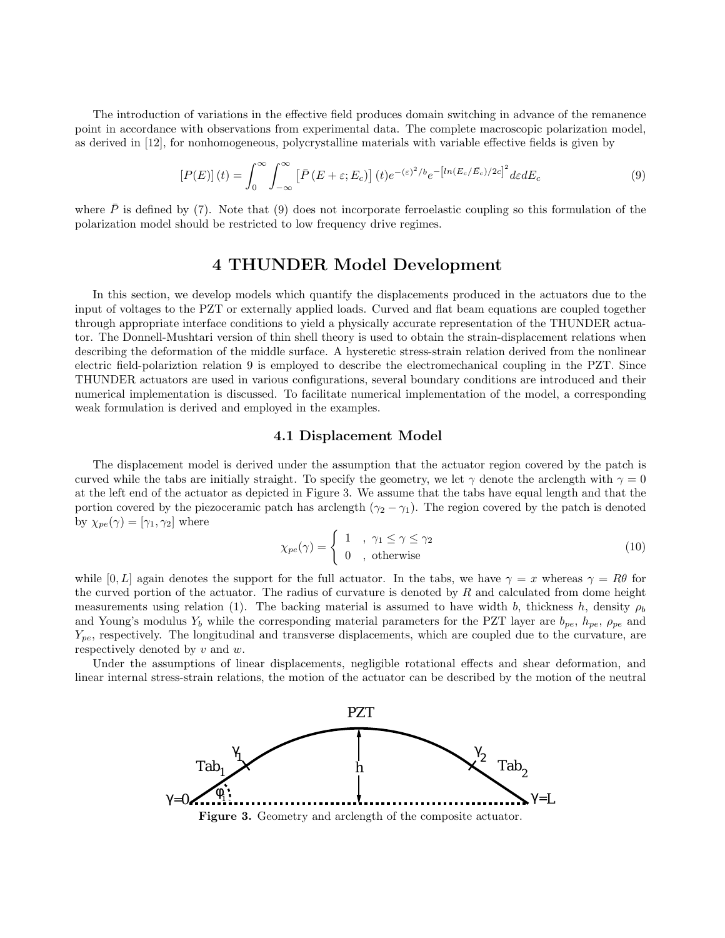The introduction of variations in the effective field produces domain switching in advance of the remanence point in accordance with observations from experimental data. The complete macroscopic polarization model, as derived in [12], for nonhomogeneous, polycrystalline materials with variable effective fields is given by

$$
\left[P(E)\right](t) = \int_0^\infty \int_{-\infty}^\infty \left[\bar{P}\left(E + \varepsilon; E_c\right)\right](t) e^{-(\varepsilon)^2/b} e^{-\left[\ln(E_c/E_c)/2c\right]^2} d\varepsilon dE_c \tag{9}
$$

where  $\bar{P}$  is defined by (7). Note that (9) does not incorporate ferroelastic coupling so this formulation of the polarization model should be restricted to low frequency drive regimes.

## **4 THUNDER Model Development**

In this section, we develop models which quantify the displacements produced in the actuators due to the input of voltages to the PZT or externally applied loads. Curved and flat beam equations are coupled together through appropriate interface conditions to yield a physically accurate representation of the THUNDER actuator. The Donnell-Mushtari version of thin shell theory is used to obtain the strain-displacement relations when describing the deformation of the middle surface. A hysteretic stress-strain relation derived from the nonlinear electric field-polariztion relation 9 is employed to describe the electromechanical coupling in the PZT. Since THUNDER actuators are used in various configurations, several boundary conditions are introduced and their numerical implementation is discussed. To facilitate numerical implementation of the model, a corresponding weak formulation is derived and employed in the examples.

### **4.1 Displacement Model**

The displacement model is derived under the assumption that the actuator region covered by the patch is curved while the tabs are initially straight. To specify the geometry, we let  $\gamma$  denote the arclength with  $\gamma = 0$ at the left end of the actuator as depicted in Figure 3. We assume that the tabs have equal length and that the portion covered by the piezoceramic patch has arclength  $(\gamma_2 - \gamma_1)$ . The region covered by the patch is denoted by  $\chi_{pe}(\gamma)=[\gamma_1, \gamma_2]$  where

$$
\chi_{pe}(\gamma) = \begin{cases} 1, & \gamma_1 \le \gamma \le \gamma_2 \\ 0, & \text{otherwise} \end{cases}
$$
 (10)

while [0, L] again denotes the support for the full actuator. In the tabs, we have  $\gamma = x$  whereas  $\gamma = R\theta$  for the curved portion of the actuator. The radius of curvature is denoted by  $R$  and calculated from dome height measurements using relation (1). The backing material is assumed to have width b, thickness h, density  $\rho_b$ and Young's modulus  $Y_b$  while the corresponding material parameters for the PZT layer are  $b_{pe}$ ,  $h_{pe}$ ,  $\rho_{pe}$  and  $Y_{pe}$ , respectively. The longitudinal and transverse displacements, which are coupled due to the curvature, are respectively denoted by  $v$  and  $w$ .

Under the assumptions of linear displacements, negligible rotational effects and shear deformation, and linear internal stress-strain relations, the motion of the actuator can be described by the motion of the neutral

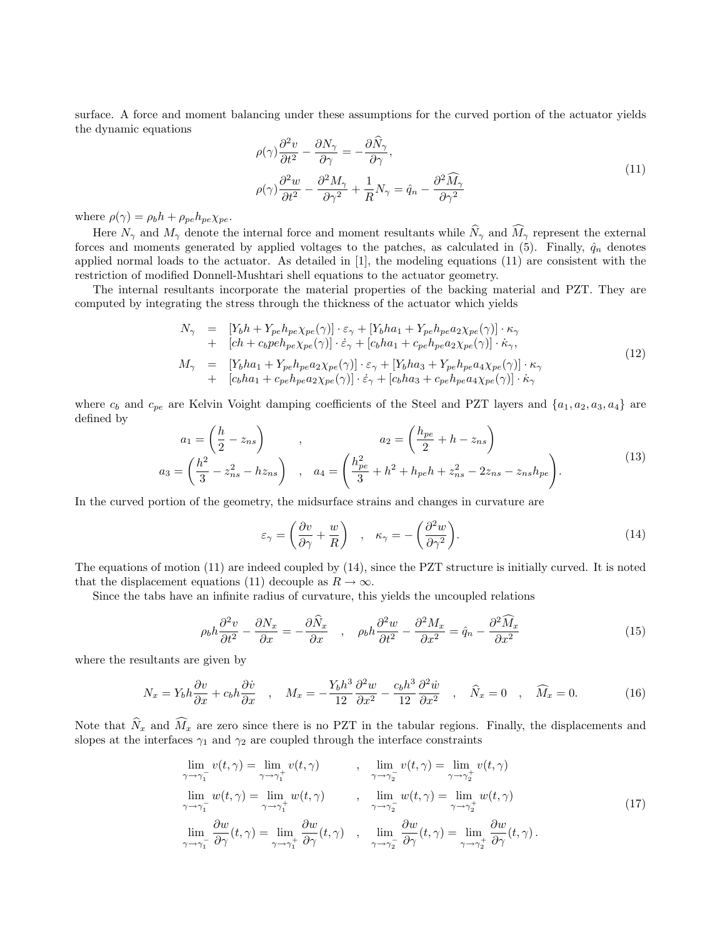surface. A force and moment balancing under these assumptions for the curved portion of the actuator yields the dynamic equations

$$
\rho(\gamma)\frac{\partial^2 v}{\partial t^2} - \frac{\partial N_\gamma}{\partial \gamma} = -\frac{\partial \widehat{N}_\gamma}{\partial \gamma},
$$
  

$$
\rho(\gamma)\frac{\partial^2 w}{\partial t^2} - \frac{\partial^2 M_\gamma}{\partial \gamma^2} + \frac{1}{R}N_\gamma = \hat{q}_n - \frac{\partial^2 \widehat{M}_\gamma}{\partial \gamma^2}
$$
\n(11)

where  $\rho(\gamma) = \rho_b h + \rho_{pe} h_{pe} \chi_{pe}$ .

Here  $N_{\gamma}$  and  $M_{\gamma}$  denote the internal force and moment resultants while  $\hat{N}_{\gamma}$  and  $\hat{M}_{\gamma}$  represent the external forces and moments generated by applied voltages to the patches, as calculated in  $(5)$ . Finally,  $\hat{q}_n$  denotes applied normal loads to the actuator. As detailed in [1], the modeling equations (11) are consistent with the restriction of modified Donnell-Mushtari shell equations to the actuator geometry.

The internal resultants incorporate the material properties of the backing material and PZT. They are computed by integrating the stress through the thickness of the actuator which yields

$$
N_{\gamma} = [Y_b h + Y_{pe} h_{pe} \chi_{pe}(\gamma)] \cdot \varepsilon_{\gamma} + [Y_b h a_1 + Y_{pe} h_{pe} a_2 \chi_{pe}(\gamma)] \cdot \kappa_{\gamma} + [ch + c_b p e h_{pe} \chi_{pe}(\gamma)] \cdot \varepsilon_{\gamma} + [c_b h a_1 + c_{pe} h_{pe} a_2 \chi_{pe}(\gamma)] \cdot \kappa_{\gamma}, M_{\gamma} = [Y_b h a_1 + Y_{pe} h_{pe} a_2 \chi_{pe}(\gamma)] \cdot \varepsilon_{\gamma} + [Y_b h a_3 + Y_{pe} h_{pe} a_4 \chi_{pe}(\gamma)] \cdot \kappa_{\gamma} + [c_b h a_1 + c_{pe} h_{pe} a_2 \chi_{pe}(\gamma)] \cdot \varepsilon_{\gamma} + [c_b h a_3 + c_{pe} h_{pe} a_4 \chi_{pe}(\gamma)] \cdot \kappa_{\gamma}
$$
\n
$$
(12)
$$

where  $c_b$  and  $c_{pe}$  are Kelvin Voight damping coefficients of the Steel and PZT layers and  $\{a_1, a_2, a_3, a_4\}$  are defined by

$$
a_1 = \left(\frac{h}{2} - z_{ns}\right) , \qquad a_2 = \left(\frac{h_{pe}}{2} + h - z_{ns}\right) a_3 = \left(\frac{h^2}{3} - z_{ns}^2 - h z_{ns}\right) , \quad a_4 = \left(\frac{h_{pe}^2}{3} + h^2 + h_{pe}h + z_{ns}^2 - 2z_{ns} - z_{ns}h_{pe}\right).
$$
 (13)

In the curved portion of the geometry, the midsurface strains and changes in curvature are

$$
\varepsilon_{\gamma} = \left(\frac{\partial v}{\partial \gamma} + \frac{w}{R}\right) , \quad \kappa_{\gamma} = -\left(\frac{\partial^2 w}{\partial \gamma^2}\right). \tag{14}
$$

The equations of motion (11) are indeed coupled by (14), since the PZT structure is initially curved. It is noted that the displacement equations (11) decouple as  $R \to \infty$ .

Since the tabs have an infinite radius of curvature, this yields the uncoupled relations

$$
\rho_b h \frac{\partial^2 v}{\partial t^2} - \frac{\partial N_x}{\partial x} = -\frac{\partial \hat{N}_x}{\partial x} \quad , \quad \rho_b h \frac{\partial^2 w}{\partial t^2} - \frac{\partial^2 M_x}{\partial x^2} = \hat{q}_n - \frac{\partial^2 \hat{M}_x}{\partial x^2} \tag{15}
$$

where the resultants are given by

$$
N_x = Y_b h \frac{\partial v}{\partial x} + c_b h \frac{\partial v}{\partial x} \quad , \quad M_x = -\frac{Y_b h^3}{12} \frac{\partial^2 w}{\partial x^2} - \frac{c_b h^3}{12} \frac{\partial^2 w}{\partial x^2} \quad , \quad \widehat{N}_x = 0 \quad , \quad \widehat{M}_x = 0. \tag{16}
$$

Note that  $\widehat{N}_x$  and  $\widehat{M}_x$  are zero since there is no PZT in the tabular regions. Finally, the displacements and slopes at the interfaces  $\gamma_1$  and  $\gamma_2$  are coupled through the interface constraints

$$
\lim_{\gamma \to \gamma_1^-} v(t, \gamma) = \lim_{\gamma \to \gamma_1^+} v(t, \gamma) \qquad , \quad \lim_{\gamma \to \gamma_2^-} v(t, \gamma) = \lim_{\gamma \to \gamma_2^+} v(t, \gamma)
$$
\n
$$
\lim_{\gamma \to \gamma_1^-} w(t, \gamma) = \lim_{\gamma \to \gamma_1^+} w(t, \gamma) \qquad , \quad \lim_{\gamma \to \gamma_2^-} w(t, \gamma) = \lim_{\gamma \to \gamma_2^+} w(t, \gamma)
$$
\n
$$
\lim_{\gamma \to \gamma_1^-} \frac{\partial w}{\partial \gamma}(t, \gamma) = \lim_{\gamma \to \gamma_1^+} \frac{\partial w}{\partial \gamma}(t, \gamma) \qquad , \quad \lim_{\gamma \to \gamma_2^-} \frac{\partial w}{\partial \gamma}(t, \gamma) = \lim_{\gamma \to \gamma_2^+} \frac{\partial w}{\partial \gamma}(t, \gamma).
$$
\n(17)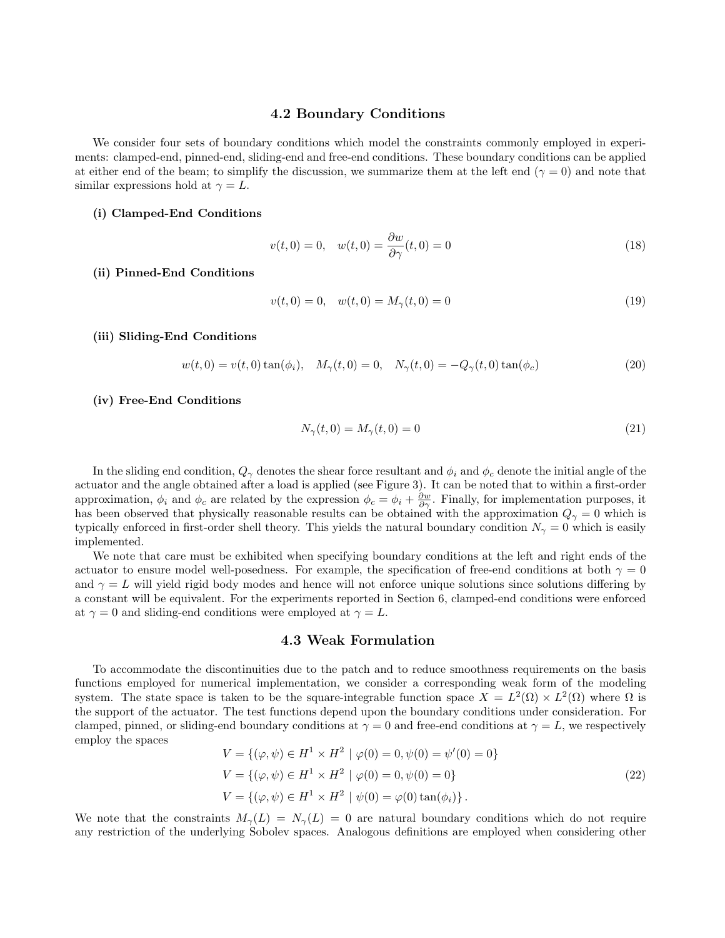#### **4.2 Boundary Conditions**

We consider four sets of boundary conditions which model the constraints commonly employed in experiments: clamped-end, pinned-end, sliding-end and free-end conditions. These boundary conditions can be applied at either end of the beam; to simplify the discussion, we summarize them at the left end ( $\gamma = 0$ ) and note that similar expressions hold at  $\gamma = L$ .

#### **(i) Clamped-End Conditions**

$$
v(t,0) = 0, \quad w(t,0) = \frac{\partial w}{\partial \gamma}(t,0) = 0 \tag{18}
$$

#### **(ii) Pinned-End Conditions**

$$
v(t,0) = 0, \quad w(t,0) = M_{\gamma}(t,0) = 0 \tag{19}
$$

#### **(iii) Sliding-End Conditions**

$$
w(t,0) = v(t,0) \tan(\phi_i), \quad M_\gamma(t,0) = 0, \quad N_\gamma(t,0) = -Q_\gamma(t,0) \tan(\phi_c)
$$
 (20)

#### **(iv) Free-End Conditions**

$$
N_{\gamma}(t,0) = M_{\gamma}(t,0) = 0\tag{21}
$$

In the sliding end condition,  $Q_{\gamma}$  denotes the shear force resultant and  $\phi_i$  and  $\phi_c$  denote the initial angle of the actuator and the angle obtained after a load is applied (see Figure 3). It can be noted that to within a first-order approximation,  $\phi_i$  and  $\phi_c$  are related by the expression  $\phi_c = \phi_i + \frac{\partial w}{\partial \gamma}$ . Finally, for implementation purposes, it has been observed that physically reasonable results can be obtained with the approximation  $Q_{\gamma} = 0$  which is typically enforced in first-order shell theory. This yields the natural boundary condition  $N_{\gamma} = 0$  which is easily implemented.

We note that care must be exhibited when specifying boundary conditions at the left and right ends of the actuator to ensure model well-posedness. For example, the specification of free-end conditions at both  $\gamma = 0$ and  $\gamma = L$  will yield rigid body modes and hence will not enforce unique solutions since solutions differing by a constant will be equivalent. For the experiments reported in Section 6, clamped-end conditions were enforced at  $\gamma = 0$  and sliding-end conditions were employed at  $\gamma = L$ .

#### **4.3 Weak Formulation**

To accommodate the discontinuities due to the patch and to reduce smoothness requirements on the basis functions employed for numerical implementation, we consider a corresponding weak form of the modeling system. The state space is taken to be the square-integrable function space  $X = L^2(\Omega) \times L^2(\Omega)$  where  $\Omega$  is the support of the actuator. The test functions depend upon the boundary conditions under consideration. For clamped, pinned, or sliding-end boundary conditions at  $\gamma = 0$  and free-end conditions at  $\gamma = L$ , we respectively employ the spaces

$$
V = \{(\varphi, \psi) \in H^1 \times H^2 \mid \varphi(0) = 0, \psi(0) = \psi'(0) = 0\}
$$
  
\n
$$
V = \{(\varphi, \psi) \in H^1 \times H^2 \mid \varphi(0) = 0, \psi(0) = 0\}
$$
  
\n
$$
V = \{(\varphi, \psi) \in H^1 \times H^2 \mid \psi(0) = \varphi(0) \tan(\phi_i)\}.
$$
\n(22)

We note that the constraints  $M_{\gamma}(L) = N_{\gamma}(L) = 0$  are natural boundary conditions which do not require any restriction of the underlying Sobolev spaces. Analogous definitions are employed when considering other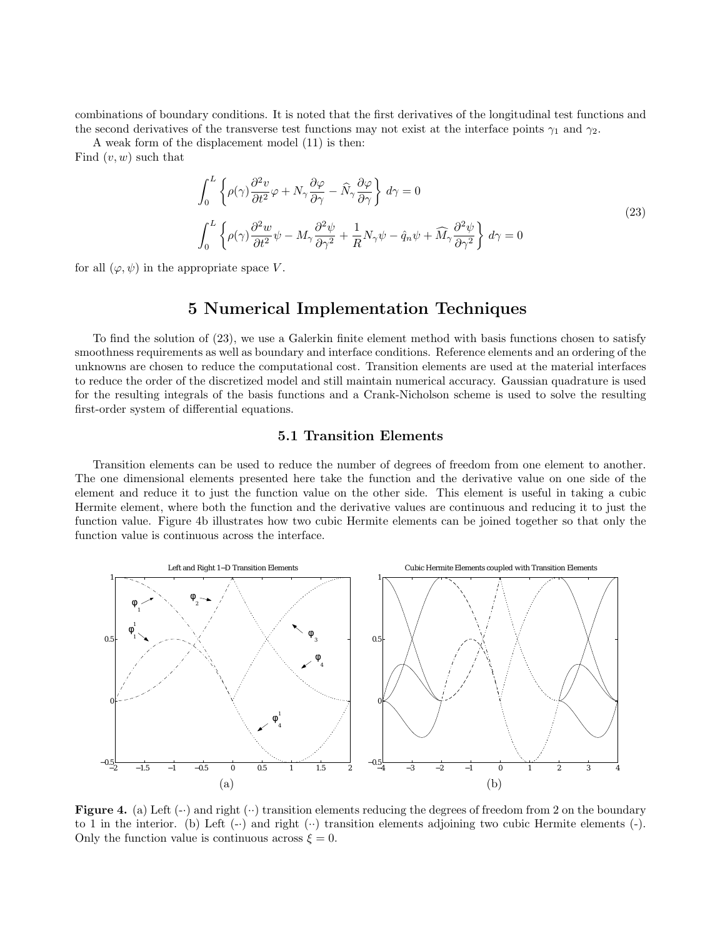combinations of boundary conditions. It is noted that the first derivatives of the longitudinal test functions and the second derivatives of the transverse test functions may not exist at the interface points  $\gamma_1$  and  $\gamma_2$ .

A weak form of the displacement model (11) is then: Find  $(v, w)$  such that

$$
\int_0^L \left\{ \rho(\gamma) \frac{\partial^2 v}{\partial t^2} \varphi + N_\gamma \frac{\partial \varphi}{\partial \gamma} - \widehat{N}_\gamma \frac{\partial \varphi}{\partial \gamma} \right\} d\gamma = 0
$$
\n
$$
\int_0^L \left\{ \rho(\gamma) \frac{\partial^2 w}{\partial t^2} \psi - M_\gamma \frac{\partial^2 \psi}{\partial \gamma^2} + \frac{1}{R} N_\gamma \psi - \widehat{q}_n \psi + \widehat{M}_\gamma \frac{\partial^2 \psi}{\partial \gamma^2} \right\} d\gamma = 0
$$
\n(23)

for all  $(\varphi, \psi)$  in the appropriate space V.

## **5 Numerical Implementation Techniques**

To find the solution of (23), we use a Galerkin finite element method with basis functions chosen to satisfy smoothness requirements as well as boundary and interface conditions. Reference elements and an ordering of the unknowns are chosen to reduce the computational cost. Transition elements are used at the material interfaces to reduce the order of the discretized model and still maintain numerical accuracy. Gaussian quadrature is used for the resulting integrals of the basis functions and a Crank-Nicholson scheme is used to solve the resulting first-order system of differential equations.

### **5.1 Transition Elements**

Transition elements can be used to reduce the number of degrees of freedom from one element to another. The one dimensional elements presented here take the function and the derivative value on one side of the element and reduce it to just the function value on the other side. This element is useful in taking a cubic Hermite element, where both the function and the derivative values are continuous and reducing it to just the function value. Figure 4b illustrates how two cubic Hermite elements can be joined together so that only the function value is continuous across the interface.



**Figure 4.** (a) Left  $(-)$  and right  $(\cdot)$  transition elements reducing the degrees of freedom from 2 on the boundary to 1 in the interior. (b) Left  $(-)$  and right  $(-)$  transition elements adjoining two cubic Hermite elements  $(-)$ . Only the function value is continuous across  $\xi = 0$ .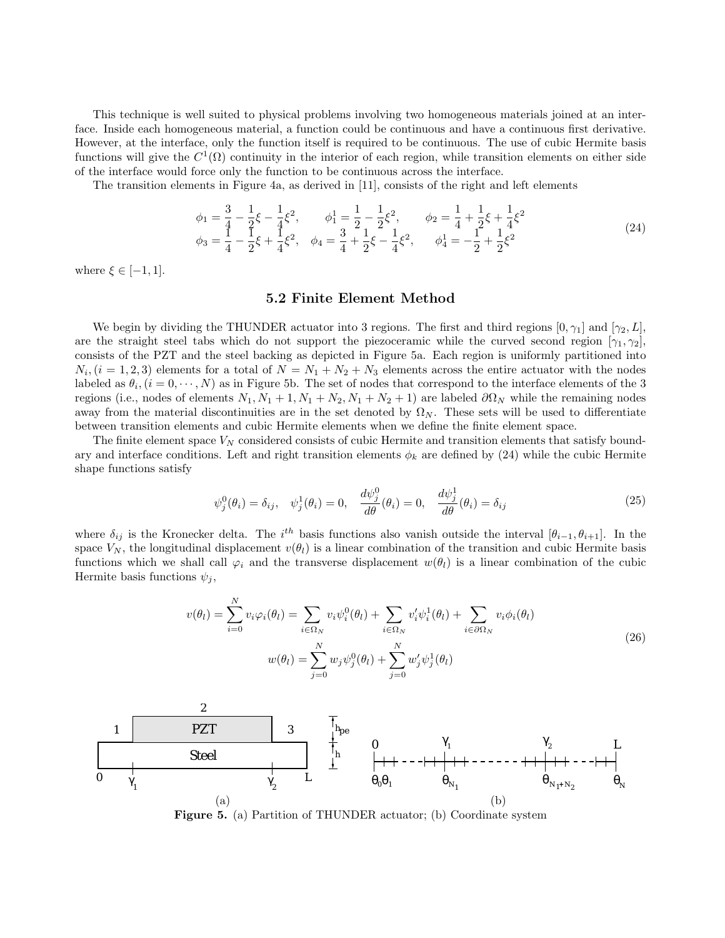This technique is well suited to physical problems involving two homogeneous materials joined at an interface. Inside each homogeneous material, a function could be continuous and have a continuous first derivative. However, at the interface, only the function itself is required to be continuous. The use of cubic Hermite basis functions will give the  $C^1(\Omega)$  continuity in the interior of each region, while transition elements on either side of the interface would force only the function to be continuous across the interface.

The transition elements in Figure 4a, as derived in [11], consists of the right and left elements

$$
\begin{aligned}\n\phi_1 &= \frac{3}{4} - \frac{1}{2}\xi - \frac{1}{4}\xi^2, & \phi_1^1 &= \frac{1}{2} - \frac{1}{2}\xi^2, & \phi_2 &= \frac{1}{4} + \frac{1}{2}\xi + \frac{1}{4}\xi^2 \\
\phi_3 &= \frac{1}{4} - \frac{1}{2}\xi + \frac{1}{4}\xi^2, & \phi_4 &= \frac{3}{4} + \frac{1}{2}\xi - \frac{1}{4}\xi^2, & \phi_4^1 &= -\frac{1}{2} + \frac{1}{2}\xi^2\n\end{aligned} \tag{24}
$$

where  $\xi \in [-1, 1]$ .

#### **5.2 Finite Element Method**

We begin by dividing the THUNDER actuator into 3 regions. The first and third regions  $[0, \gamma_1]$  and  $[\gamma_2, L]$ , are the straight steel tabs which do not support the piezoceramic while the curved second region  $[\gamma_1, \gamma_2]$ , consists of the PZT and the steel backing as depicted in Figure 5a. Each region is uniformly partitioned into  $N_i$ ,  $(i = 1, 2, 3)$  elements for a total of  $N = N_1 + N_2 + N_3$  elements across the entire actuator with the nodes labeled as  $\theta_i$ ,  $(i = 0, \dots, N)$  as in Figure 5b. The set of nodes that correspond to the interface elements of the 3 regions (i.e., nodes of elements  $N_1, N_1 + 1, N_1 + N_2, N_1 + N_2 + 1$ ) are labeled  $\partial \Omega_N$  while the remaining nodes away from the material discontinuities are in the set denoted by  $\Omega_N$ . These sets will be used to differentiate between transition elements and cubic Hermite elements when we define the finite element space.

The finite element space  $V_N$  considered consists of cubic Hermite and transition elements that satisfy boundary and interface conditions. Left and right transition elements  $\phi_k$  are defined by (24) while the cubic Hermite shape functions satisfy

$$
\psi_j^0(\theta_i) = \delta_{ij}, \quad \psi_j^1(\theta_i) = 0, \quad \frac{d\psi_j^0}{d\theta}(\theta_i) = 0, \quad \frac{d\psi_j^1}{d\theta}(\theta_i) = \delta_{ij}
$$
\n
$$
(25)
$$

where  $\delta_{ij}$  is the Kronecker delta. The i<sup>th</sup> basis functions also vanish outside the interval  $[\theta_{i-1}, \theta_{i+1}]$ . In the space  $V_N$ , the longitudinal displacement  $v(\theta_l)$  is a linear combination of the transition and cubic Hermite basis functions which we shall call  $\varphi_i$  and the transverse displacement  $w(\theta_l)$  is a linear combination of the cubic Hermite basis functions  $\psi_i$ ,

$$
v(\theta_l) = \sum_{i=0}^{N} v_i \varphi_i(\theta_l) = \sum_{i \in \Omega_N} v_i \psi_i^0(\theta_l) + \sum_{i \in \Omega_N} v'_i \psi_i^1(\theta_l) + \sum_{i \in \partial \Omega_N} v_i \phi_i(\theta_l)
$$
  

$$
w(\theta_l) = \sum_{j=0}^{N} w_j \psi_j^0(\theta_l) + \sum_{j=0}^{N} w'_j \psi_j^1(\theta_l)
$$
 (26)



Figure 5. (a) Partition of THUNDER actuator; (b) Coordinate system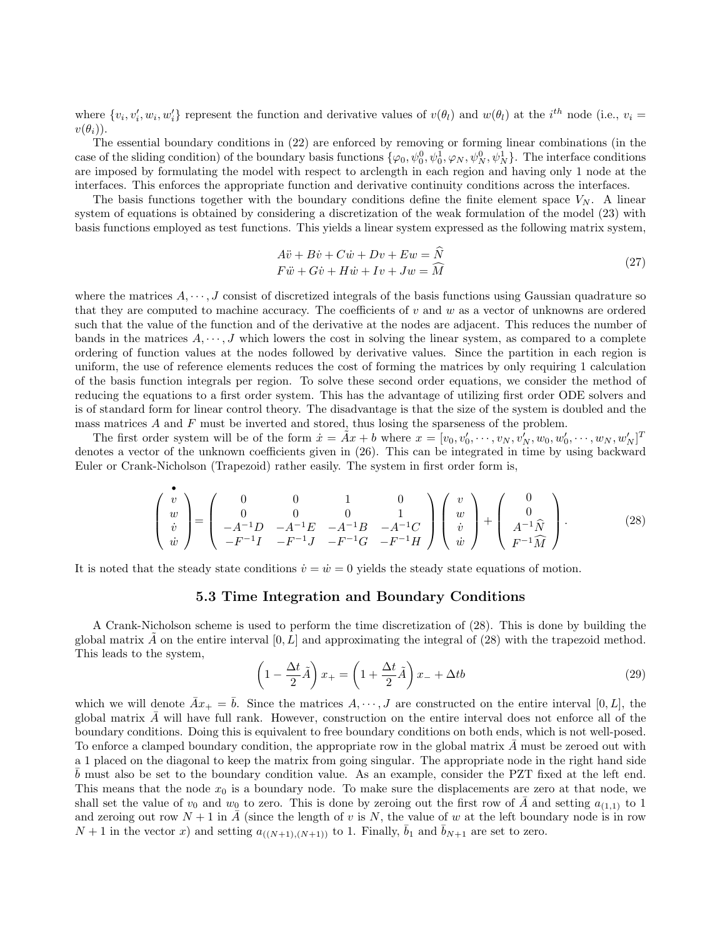where  $\{v_i, v'_i, w_i, w'_i\}$  represent the function and derivative values of  $v(\theta_l)$  and  $w(\theta_l)$  at the  $i^{th}$  node (i.e.,  $v_i =$  $v(\theta_i)$ .

The essential boundary conditions in (22) are enforced by removing or forming linear combinations (in the case of the sliding condition) of the boundary basis functions  $\{\varphi_0, \psi_0^0, \psi_0^1, \varphi_N, \psi_N^0, \psi_N^1\}$ . The interface conditions are imposed by formulating the model with respect to arclength in each region and having only 1 node at the interfaces. This enforces the appropriate function and derivative continuity conditions across the interfaces.

The basis functions together with the boundary conditions define the finite element space  $V_N$ . A linear system of equations is obtained by considering a discretization of the weak formulation of the model (23) with basis functions employed as test functions. This yields a linear system expressed as the following matrix system,

$$
A\ddot{v} + B\dot{v} + C\dot{w} + Dv + Ew = \hat{N}
$$
  
\n
$$
F\ddot{w} + G\dot{v} + H\dot{w} + Iv + Jw = \hat{M}
$$
\n(27)

where the matrices  $A, \dots, J$  consist of discretized integrals of the basis functions using Gaussian quadrature so that they are computed to machine accuracy. The coefficients of  $v$  and  $w$  as a vector of unknowns are ordered such that the value of the function and of the derivative at the nodes are adjacent. This reduces the number of bands in the matrices  $A, \dots, J$  which lowers the cost in solving the linear system, as compared to a complete ordering of function values at the nodes followed by derivative values. Since the partition in each region is uniform, the use of reference elements reduces the cost of forming the matrices by only requiring 1 calculation of the basis function integrals per region. To solve these second order equations, we consider the method of reducing the equations to a first order system. This has the advantage of utilizing first order ODE solvers and is of standard form for linear control theory. The disadvantage is that the size of the system is doubled and the mass matrices  $A$  and  $F$  must be inverted and stored, thus losing the sparseness of the problem.

The first order system will be of the form  $\dot{x} = \tilde{A}x + b$  where  $x = [v_0, v'_0, \dots, v_N, v'_N, w_0, w'_0, \dots, w_N, w'_N]^T$ denotes a vector of the unknown coefficients given in (26). This can be integrated in time by using backward Euler or Crank-Nicholson (Trapezoid) rather easily. The system in first order form is,

$$
\begin{pmatrix}\n\dot{v} \\
w \\
\dot{v} \\
\dot{w}\n\end{pmatrix} = \begin{pmatrix}\n0 & 0 & 1 & 0 \\
0 & 0 & 0 & 1 \\
-A^{-1}D & -A^{-1}E & -A^{-1}B & -A^{-1}C \\
-F^{-1}I & -F^{-1}J & -F^{-1}G & -F^{-1}H\n\end{pmatrix} \begin{pmatrix}\nv \\
w \\
\dot{v} \\
\dot{w}\n\end{pmatrix} + \begin{pmatrix}\n0 \\
0 \\
A^{-1}\hat{N} \\
F^{-1}\hat{M}\n\end{pmatrix}.
$$
\n(28)

It is noted that the steady state conditions  $\dot{v} = \dot{w} = 0$  yields the steady state equations of motion.

#### **5.3 Time Integration and Boundary Conditions**

A Crank-Nicholson scheme is used to perform the time discretization of (28). This is done by building the global matrix A on the entire interval  $[0, L]$  and approximating the integral of (28) with the trapezoid method. This leads to the system,

$$
\left(1 - \frac{\Delta t}{2}\tilde{A}\right)x_{+} = \left(1 + \frac{\Delta t}{2}\tilde{A}\right)x_{-} + \Delta t b\tag{29}
$$

which we will denote  $\bar{A}x_+ = \bar{b}$ . Since the matrices  $A, \dots, J$  are constructed on the entire interval [0, L], the global matrix  $A$  will have full rank. However, construction on the entire interval does not enforce all of the boundary conditions. Doing this is equivalent to free boundary conditions on both ends, which is not well-posed. To enforce a clamped boundary condition, the appropriate row in the global matrix A must be zeroed out with a 1 placed on the diagonal to keep the matrix from going singular. The appropriate node in the right hand side  $\overline{b}$  must also be set to the boundary condition value. As an example, consider the PZT fixed at the left end. This means that the node  $x_0$  is a boundary node. To make sure the displacements are zero at that node, we shall set the value of  $v_0$  and  $w_0$  to zero. This is done by zeroing out the first row of A and setting  $a_{(1,1)}$  to 1 and zeroing out row  $N + 1$  in  $\overline{A}$  (since the length of v is N, the value of w at the left boundary node is in row  $N+1$  in the vector x) and setting  $a_{((N+1),(N+1))}$  to 1. Finally,  $\bar{b}_1$  and  $\bar{b}_{N+1}$  are set to zero.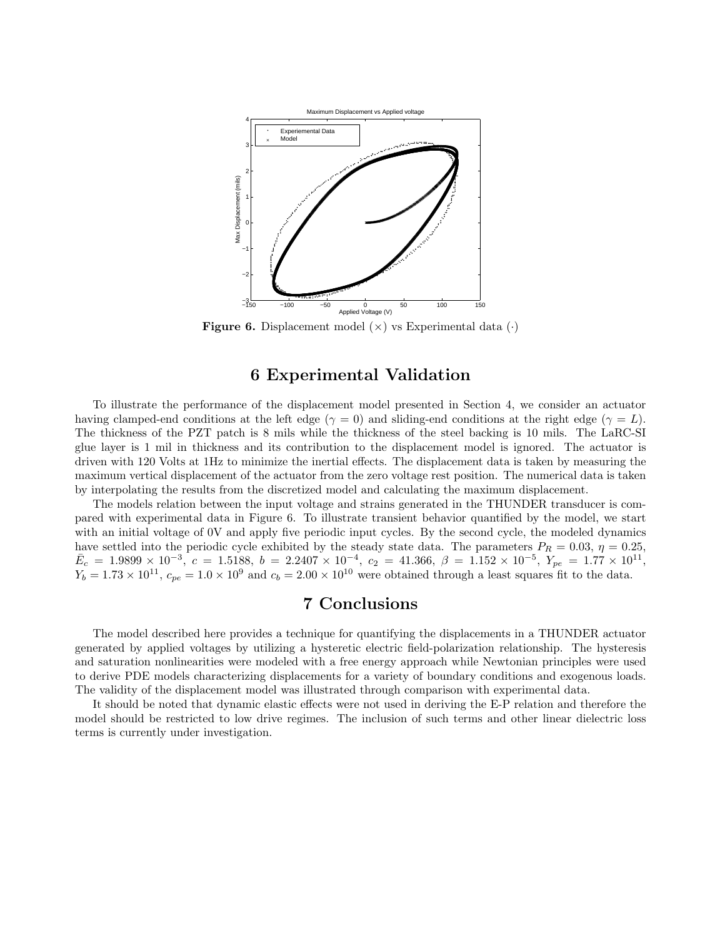

**Figure 6.** Displacement model  $(x)$  vs Experimental data  $(\cdot)$ 

### **6 Experimental Validation**

To illustrate the performance of the displacement model presented in Section 4, we consider an actuator having clamped-end conditions at the left edge ( $\gamma = 0$ ) and sliding-end conditions at the right edge ( $\gamma = L$ ). The thickness of the PZT patch is 8 mils while the thickness of the steel backing is 10 mils. The LaRC-SI glue layer is 1 mil in thickness and its contribution to the displacement model is ignored. The actuator is driven with 120 Volts at 1Hz to minimize the inertial effects. The displacement data is taken by measuring the maximum vertical displacement of the actuator from the zero voltage rest position. The numerical data is taken by interpolating the results from the discretized model and calculating the maximum displacement.

The models relation between the input voltage and strains generated in the THUNDER transducer is compared with experimental data in Figure 6. To illustrate transient behavior quantified by the model, we start with an initial voltage of 0V and apply five periodic input cycles. By the second cycle, the modeled dynamics have settled into the periodic cycle exhibited by the steady state data. The parameters  $P_R = 0.03$ ,  $\eta = 0.25$ ,  $\bar{E}_c = 1.9899 \times 10^{-3}$ ,  $c = 1.5188$ ,  $b = 2.2407 \times 10^{-4}$ ,  $c_2 = 41.366$ ,  $\beta = 1.152 \times 10^{-5}$ ,  $Y_{pe} = 1.77 \times 10^{11}$ ,  $Y_b = 1.73 \times 10^{11}$ ,  $c_{pe} = 1.0 \times 10^9$  and  $c_b = 2.00 \times 10^{10}$  were obtained through a least squares fit to the data.

## **7 Conclusions**

The model described here provides a technique for quantifying the displacements in a THUNDER actuator generated by applied voltages by utilizing a hysteretic electric field-polarization relationship. The hysteresis and saturation nonlinearities were modeled with a free energy approach while Newtonian principles were used to derive PDE models characterizing displacements for a variety of boundary conditions and exogenous loads. The validity of the displacement model was illustrated through comparison with experimental data.

It should be noted that dynamic elastic effects were not used in deriving the E-P relation and therefore the model should be restricted to low drive regimes. The inclusion of such terms and other linear dielectric loss terms is currently under investigation.